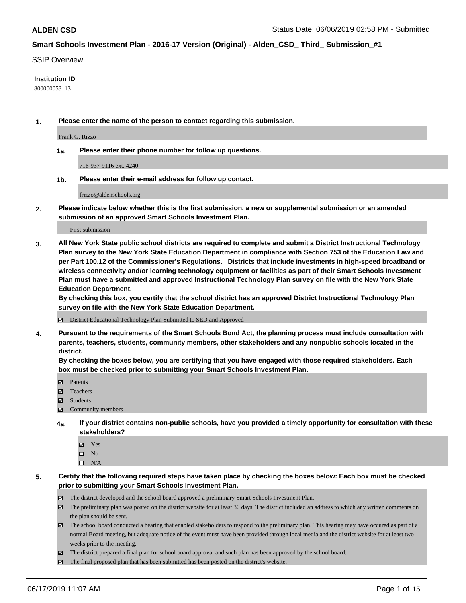#### SSIP Overview

### **Institution ID**

800000053113

**1. Please enter the name of the person to contact regarding this submission.**

Frank G. Rizzo

**1a. Please enter their phone number for follow up questions.**

716-937-9116 ext. 4240

**1b. Please enter their e-mail address for follow up contact.**

frizzo@aldenschools.org

**2. Please indicate below whether this is the first submission, a new or supplemental submission or an amended submission of an approved Smart Schools Investment Plan.**

First submission

**3. All New York State public school districts are required to complete and submit a District Instructional Technology Plan survey to the New York State Education Department in compliance with Section 753 of the Education Law and per Part 100.12 of the Commissioner's Regulations. Districts that include investments in high-speed broadband or wireless connectivity and/or learning technology equipment or facilities as part of their Smart Schools Investment Plan must have a submitted and approved Instructional Technology Plan survey on file with the New York State Education Department.** 

**By checking this box, you certify that the school district has an approved District Instructional Technology Plan survey on file with the New York State Education Department.**

District Educational Technology Plan Submitted to SED and Approved

**4. Pursuant to the requirements of the Smart Schools Bond Act, the planning process must include consultation with parents, teachers, students, community members, other stakeholders and any nonpublic schools located in the district.** 

**By checking the boxes below, you are certifying that you have engaged with those required stakeholders. Each box must be checked prior to submitting your Smart Schools Investment Plan.**

- Parents
- Teachers
- Students
- Community members
- **4a. If your district contains non-public schools, have you provided a timely opportunity for consultation with these stakeholders?**
	- Yes
	- $\square$  No
	- $\square$  N/A
- **5. Certify that the following required steps have taken place by checking the boxes below: Each box must be checked prior to submitting your Smart Schools Investment Plan.**
	- The district developed and the school board approved a preliminary Smart Schools Investment Plan.
	- $\boxtimes$  The preliminary plan was posted on the district website for at least 30 days. The district included an address to which any written comments on the plan should be sent.
	- $\boxtimes$  The school board conducted a hearing that enabled stakeholders to respond to the preliminary plan. This hearing may have occured as part of a normal Board meeting, but adequate notice of the event must have been provided through local media and the district website for at least two weeks prior to the meeting.
	- The district prepared a final plan for school board approval and such plan has been approved by the school board.
	- $\boxtimes$  The final proposed plan that has been submitted has been posted on the district's website.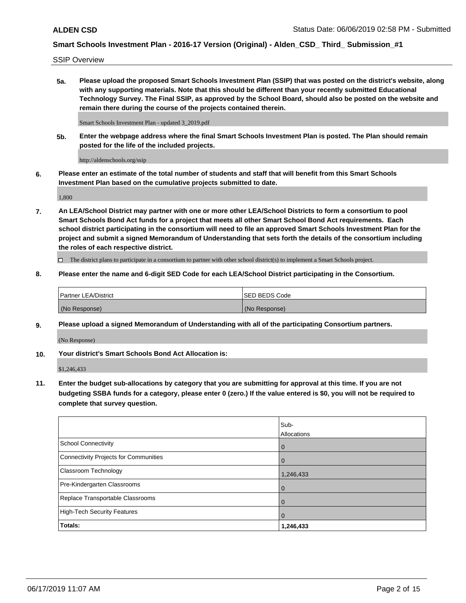SSIP Overview

**5a. Please upload the proposed Smart Schools Investment Plan (SSIP) that was posted on the district's website, along with any supporting materials. Note that this should be different than your recently submitted Educational Technology Survey. The Final SSIP, as approved by the School Board, should also be posted on the website and remain there during the course of the projects contained therein.**

Smart Schools Investment Plan - updated 3\_2019.pdf

**5b. Enter the webpage address where the final Smart Schools Investment Plan is posted. The Plan should remain posted for the life of the included projects.**

http://aldenschools.org/ssip

**6. Please enter an estimate of the total number of students and staff that will benefit from this Smart Schools Investment Plan based on the cumulative projects submitted to date.**

1,800

**7. An LEA/School District may partner with one or more other LEA/School Districts to form a consortium to pool Smart Schools Bond Act funds for a project that meets all other Smart School Bond Act requirements. Each school district participating in the consortium will need to file an approved Smart Schools Investment Plan for the project and submit a signed Memorandum of Understanding that sets forth the details of the consortium including the roles of each respective district.**

 $\Box$  The district plans to participate in a consortium to partner with other school district(s) to implement a Smart Schools project.

### **8. Please enter the name and 6-digit SED Code for each LEA/School District participating in the Consortium.**

| Partner LEA/District | <b>ISED BEDS Code</b> |
|----------------------|-----------------------|
| (No Response)        | (No Response)         |

### **9. Please upload a signed Memorandum of Understanding with all of the participating Consortium partners.**

(No Response)

**10. Your district's Smart Schools Bond Act Allocation is:**

\$1,246,433

**11. Enter the budget sub-allocations by category that you are submitting for approval at this time. If you are not budgeting SSBA funds for a category, please enter 0 (zero.) If the value entered is \$0, you will not be required to complete that survey question.**

|                                       | Sub-<br><b>Allocations</b> |
|---------------------------------------|----------------------------|
| School Connectivity                   | l 0                        |
| Connectivity Projects for Communities | $\Omega$                   |
| <b>Classroom Technology</b>           | 1,246,433                  |
| Pre-Kindergarten Classrooms           | $\overline{0}$             |
| Replace Transportable Classrooms      | $\Omega$                   |
| High-Tech Security Features           | $\overline{0}$             |
| Totals:                               | 1,246,433                  |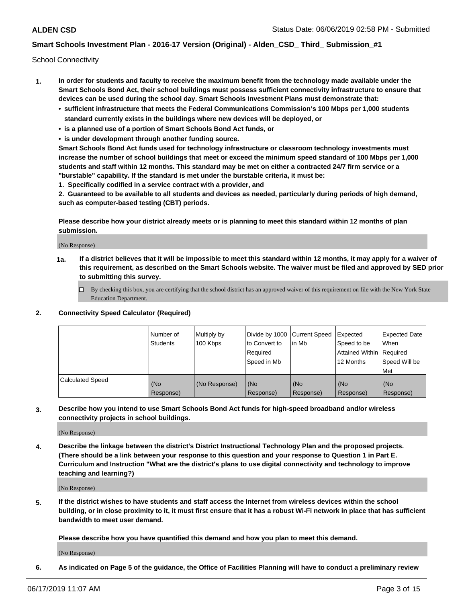School Connectivity

- **1. In order for students and faculty to receive the maximum benefit from the technology made available under the Smart Schools Bond Act, their school buildings must possess sufficient connectivity infrastructure to ensure that devices can be used during the school day. Smart Schools Investment Plans must demonstrate that:**
	- **• sufficient infrastructure that meets the Federal Communications Commission's 100 Mbps per 1,000 students standard currently exists in the buildings where new devices will be deployed, or**
	- **• is a planned use of a portion of Smart Schools Bond Act funds, or**
	- **• is under development through another funding source.**

**Smart Schools Bond Act funds used for technology infrastructure or classroom technology investments must increase the number of school buildings that meet or exceed the minimum speed standard of 100 Mbps per 1,000 students and staff within 12 months. This standard may be met on either a contracted 24/7 firm service or a "burstable" capability. If the standard is met under the burstable criteria, it must be:**

**1. Specifically codified in a service contract with a provider, and**

**2. Guaranteed to be available to all students and devices as needed, particularly during periods of high demand, such as computer-based testing (CBT) periods.**

**Please describe how your district already meets or is planning to meet this standard within 12 months of plan submission.**

(No Response)

**1a. If a district believes that it will be impossible to meet this standard within 12 months, it may apply for a waiver of this requirement, as described on the Smart Schools website. The waiver must be filed and approved by SED prior to submitting this survey.**

 $\Box$  By checking this box, you are certifying that the school district has an approved waiver of this requirement on file with the New York State Education Department.

### **2. Connectivity Speed Calculator (Required)**

|                         | Number of<br>Students | Multiply by<br>100 Kbps | Divide by 1000 Current Speed<br>to Convert to<br>Required<br>Speed in Mb | l in Mb          | Expected<br>Speed to be<br>Attained Within   Required<br>12 Months | <b>Expected Date</b><br>When<br>Speed Will be<br><b>Met</b> |
|-------------------------|-----------------------|-------------------------|--------------------------------------------------------------------------|------------------|--------------------------------------------------------------------|-------------------------------------------------------------|
| <b>Calculated Speed</b> | (No<br>Response)      | (No Response)           | (No<br>Response)                                                         | (No<br>Response) | (No<br>Response)                                                   | (No<br>Response)                                            |

**3. Describe how you intend to use Smart Schools Bond Act funds for high-speed broadband and/or wireless connectivity projects in school buildings.**

(No Response)

**4. Describe the linkage between the district's District Instructional Technology Plan and the proposed projects. (There should be a link between your response to this question and your response to Question 1 in Part E. Curriculum and Instruction "What are the district's plans to use digital connectivity and technology to improve teaching and learning?)**

(No Response)

**5. If the district wishes to have students and staff access the Internet from wireless devices within the school building, or in close proximity to it, it must first ensure that it has a robust Wi-Fi network in place that has sufficient bandwidth to meet user demand.**

**Please describe how you have quantified this demand and how you plan to meet this demand.**

(No Response)

**6. As indicated on Page 5 of the guidance, the Office of Facilities Planning will have to conduct a preliminary review**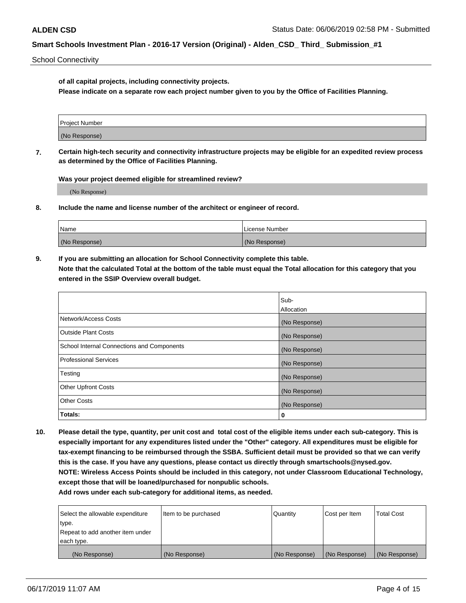School Connectivity

**of all capital projects, including connectivity projects.**

**Please indicate on a separate row each project number given to you by the Office of Facilities Planning.**

| Project Number |  |
|----------------|--|
|                |  |
|                |  |
| (No Response)  |  |
|                |  |

**7. Certain high-tech security and connectivity infrastructure projects may be eligible for an expedited review process as determined by the Office of Facilities Planning.**

**Was your project deemed eligible for streamlined review?**

(No Response)

**8. Include the name and license number of the architect or engineer of record.**

| Name          | License Number |
|---------------|----------------|
| (No Response) | (No Response)  |

**9. If you are submitting an allocation for School Connectivity complete this table. Note that the calculated Total at the bottom of the table must equal the Total allocation for this category that you entered in the SSIP Overview overall budget.** 

|                                            | Sub-              |
|--------------------------------------------|-------------------|
|                                            | <b>Allocation</b> |
| Network/Access Costs                       | (No Response)     |
| <b>Outside Plant Costs</b>                 | (No Response)     |
| School Internal Connections and Components | (No Response)     |
| <b>Professional Services</b>               | (No Response)     |
| Testing                                    | (No Response)     |
| <b>Other Upfront Costs</b>                 | (No Response)     |
| <b>Other Costs</b>                         | (No Response)     |
| Totals:                                    | 0                 |

**10. Please detail the type, quantity, per unit cost and total cost of the eligible items under each sub-category. This is especially important for any expenditures listed under the "Other" category. All expenditures must be eligible for tax-exempt financing to be reimbursed through the SSBA. Sufficient detail must be provided so that we can verify this is the case. If you have any questions, please contact us directly through smartschools@nysed.gov. NOTE: Wireless Access Points should be included in this category, not under Classroom Educational Technology, except those that will be loaned/purchased for nonpublic schools.**

| Select the allowable expenditure | Item to be purchased | Quantity      | Cost per Item | <b>Total Cost</b> |
|----------------------------------|----------------------|---------------|---------------|-------------------|
| type.                            |                      |               |               |                   |
| Repeat to add another item under |                      |               |               |                   |
| each type.                       |                      |               |               |                   |
| (No Response)                    | (No Response)        | (No Response) | (No Response) | (No Response)     |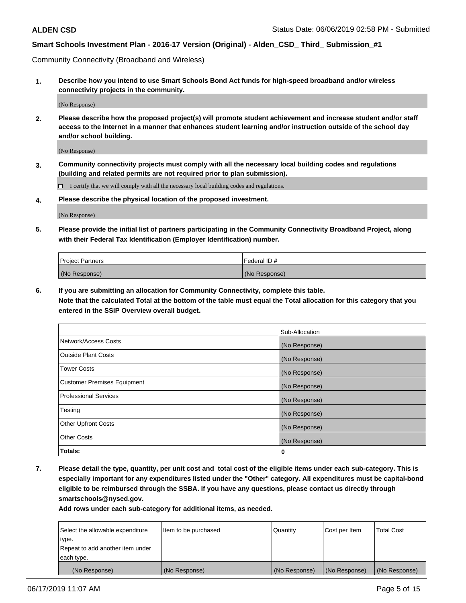Community Connectivity (Broadband and Wireless)

**1. Describe how you intend to use Smart Schools Bond Act funds for high-speed broadband and/or wireless connectivity projects in the community.**

(No Response)

**2. Please describe how the proposed project(s) will promote student achievement and increase student and/or staff access to the Internet in a manner that enhances student learning and/or instruction outside of the school day and/or school building.**

(No Response)

**3. Community connectivity projects must comply with all the necessary local building codes and regulations (building and related permits are not required prior to plan submission).**

 $\Box$  I certify that we will comply with all the necessary local building codes and regulations.

**4. Please describe the physical location of the proposed investment.**

(No Response)

**5. Please provide the initial list of partners participating in the Community Connectivity Broadband Project, along with their Federal Tax Identification (Employer Identification) number.**

| <b>Project Partners</b> | Federal ID#   |
|-------------------------|---------------|
| (No Response)           | (No Response) |

**6. If you are submitting an allocation for Community Connectivity, complete this table.**

**Note that the calculated Total at the bottom of the table must equal the Total allocation for this category that you entered in the SSIP Overview overall budget.**

|                                    | Sub-Allocation |
|------------------------------------|----------------|
| Network/Access Costs               | (No Response)  |
| <b>Outside Plant Costs</b>         | (No Response)  |
| <b>Tower Costs</b>                 | (No Response)  |
| <b>Customer Premises Equipment</b> | (No Response)  |
| <b>Professional Services</b>       | (No Response)  |
| Testing                            | (No Response)  |
| <b>Other Upfront Costs</b>         | (No Response)  |
| <b>Other Costs</b>                 | (No Response)  |
| Totals:                            | 0              |

**7. Please detail the type, quantity, per unit cost and total cost of the eligible items under each sub-category. This is especially important for any expenditures listed under the "Other" category. All expenditures must be capital-bond eligible to be reimbursed through the SSBA. If you have any questions, please contact us directly through smartschools@nysed.gov.**

| Select the allowable expenditure | Item to be purchased | l Quantitv    | Cost per Item | <b>Total Cost</b> |
|----------------------------------|----------------------|---------------|---------------|-------------------|
| type.                            |                      |               |               |                   |
| Repeat to add another item under |                      |               |               |                   |
| each type.                       |                      |               |               |                   |
| (No Response)                    | (No Response)        | (No Response) | (No Response) | (No Response)     |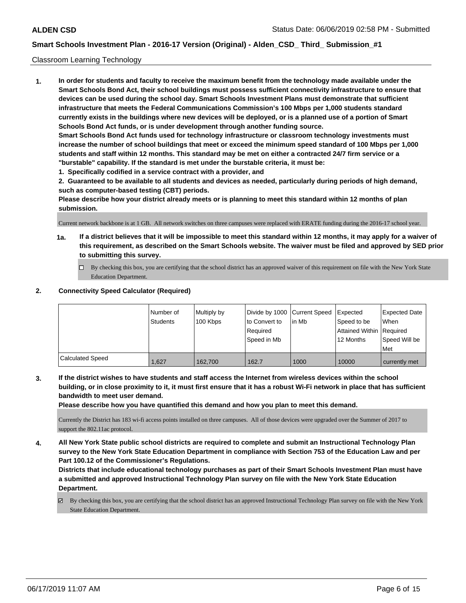### Classroom Learning Technology

**1. In order for students and faculty to receive the maximum benefit from the technology made available under the Smart Schools Bond Act, their school buildings must possess sufficient connectivity infrastructure to ensure that devices can be used during the school day. Smart Schools Investment Plans must demonstrate that sufficient infrastructure that meets the Federal Communications Commission's 100 Mbps per 1,000 students standard currently exists in the buildings where new devices will be deployed, or is a planned use of a portion of Smart Schools Bond Act funds, or is under development through another funding source. Smart Schools Bond Act funds used for technology infrastructure or classroom technology investments must increase the number of school buildings that meet or exceed the minimum speed standard of 100 Mbps per 1,000 students and staff within 12 months. This standard may be met on either a contracted 24/7 firm service or a "burstable" capability. If the standard is met under the burstable criteria, it must be:**

**1. Specifically codified in a service contract with a provider, and**

**2. Guaranteed to be available to all students and devices as needed, particularly during periods of high demand, such as computer-based testing (CBT) periods.**

**Please describe how your district already meets or is planning to meet this standard within 12 months of plan submission.**

Current network backbone is at 1 GB. All network switches on three campuses were replaced with ERATE funding during the 2016-17 school year.

- **1a. If a district believes that it will be impossible to meet this standard within 12 months, it may apply for a waiver of this requirement, as described on the Smart Schools website. The waiver must be filed and approved by SED prior to submitting this survey.**
	- By checking this box, you are certifying that the school district has an approved waiver of this requirement on file with the New York State Education Department.

### **2. Connectivity Speed Calculator (Required)**

|                         | Number of<br>Students | Multiply by<br>100 Kbps | Divide by 1000 Current Speed<br>to Convert to<br>Reauired<br>Speed in Mb | lin Mb | <b>I</b> Expected<br>Speed to be<br>Attained Within Required<br>12 Months | Expected Date<br><b>When</b><br>Speed Will be<br>Met |
|-------------------------|-----------------------|-------------------------|--------------------------------------------------------------------------|--------|---------------------------------------------------------------------------|------------------------------------------------------|
| <b>Calculated Speed</b> | 1,627                 | 162.700                 | 162.7                                                                    | 1000   | 10000                                                                     | currently met                                        |

**3. If the district wishes to have students and staff access the Internet from wireless devices within the school building, or in close proximity to it, it must first ensure that it has a robust Wi-Fi network in place that has sufficient bandwidth to meet user demand.**

**Please describe how you have quantified this demand and how you plan to meet this demand.**

Currently the District has 183 wi-fi access points installed on three campuses. All of those devices were upgraded over the Summer of 2017 to support the 802.11ac protocol.

**4. All New York State public school districts are required to complete and submit an Instructional Technology Plan survey to the New York State Education Department in compliance with Section 753 of the Education Law and per Part 100.12 of the Commissioner's Regulations.**

**Districts that include educational technology purchases as part of their Smart Schools Investment Plan must have a submitted and approved Instructional Technology Plan survey on file with the New York State Education Department.**

 $\boxtimes$  By checking this box, you are certifying that the school district has an approved Instructional Technology Plan survey on file with the New York State Education Department.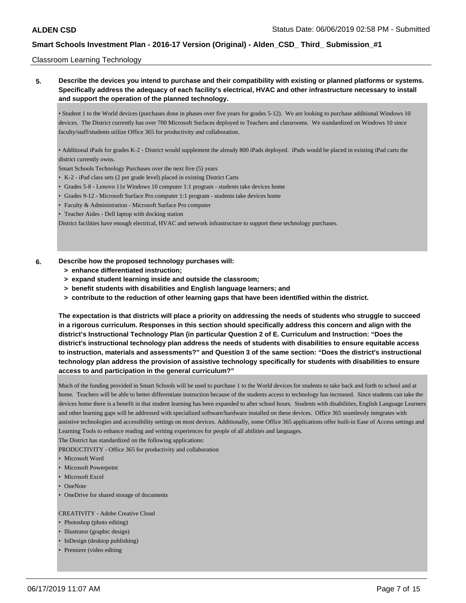### Classroom Learning Technology

**5. Describe the devices you intend to purchase and their compatibility with existing or planned platforms or systems. Specifically address the adequacy of each facility's electrical, HVAC and other infrastructure necessary to install and support the operation of the planned technology.**

• Student 1 to the World devices (purchases done in phases over five years for grades 5-12). We are looking to purchase additional Windows 10 devices. The District currently has over 700 Microsoft Surfaces deployed to Teachers and classrooms. We standardized on Windows 10 since faculty/staff/students utilize Office 365 for productivity and collaboration.

• Additional iPads for grades K-2 - District would supplement the already 800 iPads deployed. iPads would be placed in existing iPad carts the district currently owns.

Smart Schools Technology Purchases over the next five (5) years

- K-2 iPad class sets (2 per grade level) placed in existing District Carts
- Grades 5-8 Lenovo 11e Windows 10 computer 1:1 program students take devices home
- Grades 9-12 Microsoft Surface Pro computer 1:1 program students take devices home
- Faculty & Administration Microsoft Surface Pro computer
- Teacher Aides Dell laptop with docking station

District facilities have enough electrical, HVAC and network infrastructure to support these technology purchases.

#### **6. Describe how the proposed technology purchases will:**

- **> enhance differentiated instruction;**
- **> expand student learning inside and outside the classroom;**
- **> benefit students with disabilities and English language learners; and**
- **> contribute to the reduction of other learning gaps that have been identified within the district.**

**The expectation is that districts will place a priority on addressing the needs of students who struggle to succeed in a rigorous curriculum. Responses in this section should specifically address this concern and align with the district's Instructional Technology Plan (in particular Question 2 of E. Curriculum and Instruction: "Does the district's instructional technology plan address the needs of students with disabilities to ensure equitable access to instruction, materials and assessments?" and Question 3 of the same section: "Does the district's instructional technology plan address the provision of assistive technology specifically for students with disabilities to ensure access to and participation in the general curriculum?"**

Much of the funding provided in Smart Schools will be used to purchase 1 to the World devices for students to take back and forth to school and at home. Teachers will be able to better differentiate instruction because of the students access to technology has increased. Since students can take the devices home there is a benefit in that student learning has been expanded to after school hours. Students with disabilities, English Language Learners and other learning gaps will be addressed with specialized software/hardware installed on these devices. Office 365 seamlessly integrates with assistive technologies and accessibility settings on most devices. Additionally, some Office 365 applications offer built-in Ease of Access settings and Learning Tools to enhance reading and writing experiences for people of all abilities and languages.

The District has standardized on the following applications:

PRODUCTIVITY - Office 365 for productivity and collaboration

- Microsoft Word
- Microsoft Powerpoint
- Microsoft Excel
- OneNote
- OneDrive for shared storage of documents

#### CREATIVITY - Adobe Creative Cloud

- Photoshop (photo editing)
- Illustrator (graphic design)
- InDesign (desktop publishing)
- Premiere (video editing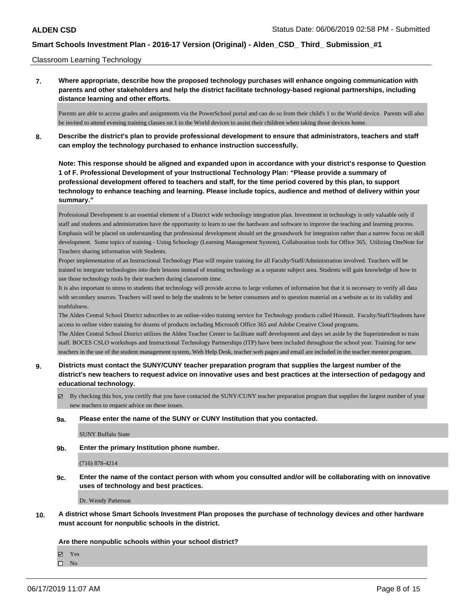### Classroom Learning Technology

**7. Where appropriate, describe how the proposed technology purchases will enhance ongoing communication with parents and other stakeholders and help the district facilitate technology-based regional partnerships, including distance learning and other efforts.**

Parents are able to access grades and assignments via the PowerSchool portal and can do so from their child's 1 to the World device. Parents will also be invited to attend evening training classes on 1 to the World devices to assist their children when taking those devices home.

**8. Describe the district's plan to provide professional development to ensure that administrators, teachers and staff can employ the technology purchased to enhance instruction successfully.**

**Note: This response should be aligned and expanded upon in accordance with your district's response to Question 1 of F. Professional Development of your Instructional Technology Plan: "Please provide a summary of professional development offered to teachers and staff, for the time period covered by this plan, to support technology to enhance teaching and learning. Please include topics, audience and method of delivery within your summary."**

Professional Development is an essential element of a District wide technology integration plan. Investment in technology is only valuable only if staff and students and administration have the opportunity to learn to use the hardware and software to improve the teaching and learning process. Emphasis will be placed on understanding that professional development should set the groundwork for integration rather than a narrow focus on skill development. Some topics of training - Using Schoology (Learning Management System), Collaboration tools for Office 365, Utilizing OneNote for Teachers sharing information with Students.

Proper implementation of an Instructional Technology Plan will require training for all Faculty/Staff/Administration involved. Teachers will be trained to integrate technologies into their lessons instead of treating technology as a separate subject area. Students will gain knowledge of how to use those technology tools by their teachers during classroom time.

It is also important to stress to students that technology will provide access to large volumes of information but that it is necessary to verify all data with secondary sources. Teachers will need to help the students to be better consumers and to question material on a website as to its validity and truthfulness.

The Alden Central School District subscribes to an online-video training service for Technology products called Hoonuit. Faculty/Staff/Students have access to online video training for dozens of products including Microsoft Office 365 and Adobe Creative Cloud programs.

The Alden Central School District utilizes the Alden Teacher Center to facilitate staff development and days set aside by the Superintendent to train staff. BOCES CSLO workshops and Instructional Technology Partnerships (ITP) have been included throughout the school year. Training for new teachers in the use of the student management system, Web Help Desk, teacher web pages and email are included in the teacher mentor program.

- **9. Districts must contact the SUNY/CUNY teacher preparation program that supplies the largest number of the district's new teachers to request advice on innovative uses and best practices at the intersection of pedagogy and educational technology.**
	- $\boxtimes$  By checking this box, you certify that you have contacted the SUNY/CUNY teacher preparation program that supplies the largest number of your new teachers to request advice on these issues.

#### **9a. Please enter the name of the SUNY or CUNY Institution that you contacted.**

SUNY Buffalo State

**9b. Enter the primary Institution phone number.**

(716) 878-4214

**9c. Enter the name of the contact person with whom you consulted and/or will be collaborating with on innovative uses of technology and best practices.**

Dr. Wendy Patterson

**10. A district whose Smart Schools Investment Plan proposes the purchase of technology devices and other hardware must account for nonpublic schools in the district.**

**Are there nonpublic schools within your school district?**

Yes

 $\square$  No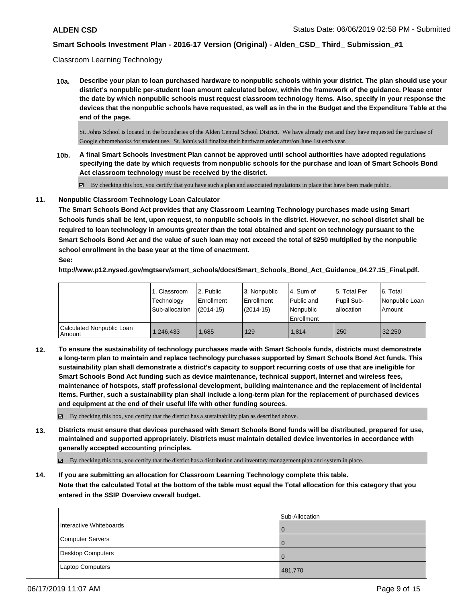### Classroom Learning Technology

**10a. Describe your plan to loan purchased hardware to nonpublic schools within your district. The plan should use your district's nonpublic per-student loan amount calculated below, within the framework of the guidance. Please enter the date by which nonpublic schools must request classroom technology items. Also, specify in your response the devices that the nonpublic schools have requested, as well as in the in the Budget and the Expenditure Table at the end of the page.**

St. Johns School is located in the boundaries of the Alden Central School District. We have already met and they have requested the purchase of Google chromebooks for student use. St. John's will finalize their hardware order after/on June 1st each year.

- **10b. A final Smart Schools Investment Plan cannot be approved until school authorities have adopted regulations specifying the date by which requests from nonpublic schools for the purchase and loan of Smart Schools Bond Act classroom technology must be received by the district.**
	- By checking this box, you certify that you have such a plan and associated regulations in place that have been made public.

### **11. Nonpublic Classroom Technology Loan Calculator**

**The Smart Schools Bond Act provides that any Classroom Learning Technology purchases made using Smart Schools funds shall be lent, upon request, to nonpublic schools in the district. However, no school district shall be required to loan technology in amounts greater than the total obtained and spent on technology pursuant to the Smart Schools Bond Act and the value of such loan may not exceed the total of \$250 multiplied by the nonpublic school enrollment in the base year at the time of enactment. See:**

**http://www.p12.nysed.gov/mgtserv/smart\_schools/docs/Smart\_Schools\_Bond\_Act\_Guidance\_04.27.15\_Final.pdf.**

|                                       | 1. Classroom<br>Technology<br>Sub-allocation | 2. Public<br>Enrollment<br>(2014-15) | 3. Nonpublic<br>Enrollment<br>(2014-15) | I4. Sum of<br>Public and<br>l Nonpublic<br>Enrollment | 15. Total Per<br>Pupil Sub-<br>allocation | 6. Total<br>Nonpublic Loan  <br>Amount |
|---------------------------------------|----------------------------------------------|--------------------------------------|-----------------------------------------|-------------------------------------------------------|-------------------------------------------|----------------------------------------|
| Calculated Nonpublic Loan<br>  Amount | 1,246,433                                    | .685                                 | 129                                     | 1.814                                                 | 250                                       | 32,250                                 |

**12. To ensure the sustainability of technology purchases made with Smart Schools funds, districts must demonstrate a long-term plan to maintain and replace technology purchases supported by Smart Schools Bond Act funds. This sustainability plan shall demonstrate a district's capacity to support recurring costs of use that are ineligible for Smart Schools Bond Act funding such as device maintenance, technical support, Internet and wireless fees, maintenance of hotspots, staff professional development, building maintenance and the replacement of incidental items. Further, such a sustainability plan shall include a long-term plan for the replacement of purchased devices and equipment at the end of their useful life with other funding sources.**

 $\boxtimes$  By checking this box, you certify that the district has a sustainability plan as described above.

**13. Districts must ensure that devices purchased with Smart Schools Bond funds will be distributed, prepared for use, maintained and supported appropriately. Districts must maintain detailed device inventories in accordance with generally accepted accounting principles.**

By checking this box, you certify that the district has a distribution and inventory management plan and system in place.

**14. If you are submitting an allocation for Classroom Learning Technology complete this table. Note that the calculated Total at the bottom of the table must equal the Total allocation for this category that you entered in the SSIP Overview overall budget.**

|                          | Sub-Allocation |
|--------------------------|----------------|
| Interactive Whiteboards  | $\Omega$       |
| Computer Servers         | $\Omega$       |
| <b>Desktop Computers</b> | $\Omega$       |
| Laptop Computers         | 481,770        |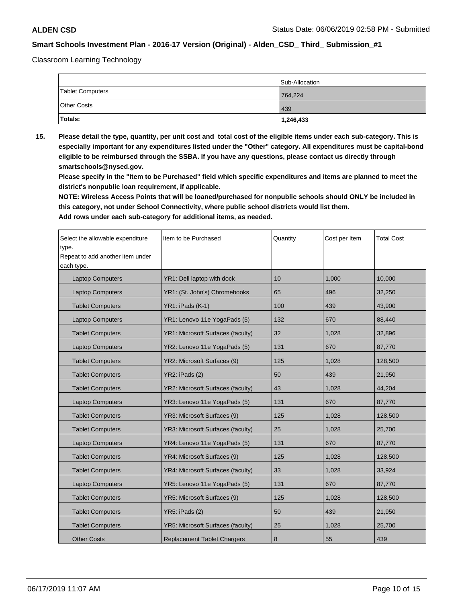Classroom Learning Technology

|                    | Sub-Allocation |
|--------------------|----------------|
| Tablet Computers   | 764,224        |
| <b>Other Costs</b> | 439            |
| Totals:            | 1,246,433      |

**15. Please detail the type, quantity, per unit cost and total cost of the eligible items under each sub-category. This is especially important for any expenditures listed under the "Other" category. All expenditures must be capital-bond eligible to be reimbursed through the SSBA. If you have any questions, please contact us directly through smartschools@nysed.gov.**

**Please specify in the "Item to be Purchased" field which specific expenditures and items are planned to meet the district's nonpublic loan requirement, if applicable.**

**NOTE: Wireless Access Points that will be loaned/purchased for nonpublic schools should ONLY be included in this category, not under School Connectivity, where public school districts would list them.**

| Select the allowable expenditure<br>type.<br>Repeat to add another item under<br>each type. | Item to be Purchased                     | Quantity | Cost per Item | <b>Total Cost</b> |
|---------------------------------------------------------------------------------------------|------------------------------------------|----------|---------------|-------------------|
| <b>Laptop Computers</b>                                                                     | YR1: Dell laptop with dock               | 10       | 1,000         | 10,000            |
| <b>Laptop Computers</b>                                                                     | YR1: (St. John's) Chromebooks            | 65       | 496           | 32,250            |
| <b>Tablet Computers</b>                                                                     | YR1: iPads (K-1)                         | 100      | 439           | 43,900            |
| <b>Laptop Computers</b>                                                                     | YR1: Lenovo 11e YogaPads (5)             | 132      | 670           | 88,440            |
| <b>Tablet Computers</b>                                                                     | <b>YR1: Microsoft Surfaces (faculty)</b> | 32       | 1,028         | 32,896            |
| <b>Laptop Computers</b>                                                                     | YR2: Lenovo 11e YogaPads (5)             | 131      | 670           | 87,770            |
| <b>Tablet Computers</b>                                                                     | YR2: Microsoft Surfaces (9)              | 125      | 1,028         | 128,500           |
| <b>Tablet Computers</b>                                                                     | YR2: iPads (2)                           | 50       | 439           | 21,950            |
| <b>Tablet Computers</b>                                                                     | <b>YR2: Microsoft Surfaces (faculty)</b> | 43       | 1,028         | 44,204            |
| <b>Laptop Computers</b>                                                                     | YR3: Lenovo 11e YogaPads (5)             | 131      | 670           | 87,770            |
| <b>Tablet Computers</b>                                                                     | YR3: Microsoft Surfaces (9)              | 125      | 1,028         | 128,500           |
| <b>Tablet Computers</b>                                                                     | <b>YR3: Microsoft Surfaces (faculty)</b> | 25       | 1,028         | 25,700            |
| <b>Laptop Computers</b>                                                                     | YR4: Lenovo 11e YogaPads (5)             | 131      | 670           | 87,770            |
| <b>Tablet Computers</b>                                                                     | YR4: Microsoft Surfaces (9)              | 125      | 1,028         | 128,500           |
| <b>Tablet Computers</b>                                                                     | <b>YR4: Microsoft Surfaces (faculty)</b> | 33       | 1,028         | 33,924            |
| <b>Laptop Computers</b>                                                                     | YR5: Lenovo 11e YogaPads (5)             | 131      | 670           | 87,770            |
| <b>Tablet Computers</b>                                                                     | YR5: Microsoft Surfaces (9)              | 125      | 1,028         | 128,500           |
| <b>Tablet Computers</b>                                                                     | YR5: iPads (2)                           | 50       | 439           | 21,950            |
| <b>Tablet Computers</b>                                                                     | <b>YR5: Microsoft Surfaces (faculty)</b> | 25       | 1,028         | 25,700            |
| <b>Other Costs</b>                                                                          | <b>Replacement Tablet Chargers</b>       | $\bf 8$  | 55            | 439               |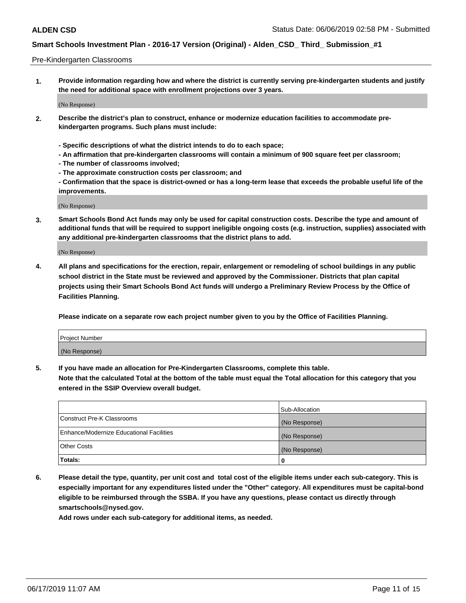### Pre-Kindergarten Classrooms

**1. Provide information regarding how and where the district is currently serving pre-kindergarten students and justify the need for additional space with enrollment projections over 3 years.**

(No Response)

- **2. Describe the district's plan to construct, enhance or modernize education facilities to accommodate prekindergarten programs. Such plans must include:**
	- **Specific descriptions of what the district intends to do to each space;**
	- **An affirmation that pre-kindergarten classrooms will contain a minimum of 900 square feet per classroom;**
	- **The number of classrooms involved;**
	- **The approximate construction costs per classroom; and**
	- **Confirmation that the space is district-owned or has a long-term lease that exceeds the probable useful life of the improvements.**

(No Response)

**3. Smart Schools Bond Act funds may only be used for capital construction costs. Describe the type and amount of additional funds that will be required to support ineligible ongoing costs (e.g. instruction, supplies) associated with any additional pre-kindergarten classrooms that the district plans to add.**

(No Response)

**4. All plans and specifications for the erection, repair, enlargement or remodeling of school buildings in any public school district in the State must be reviewed and approved by the Commissioner. Districts that plan capital projects using their Smart Schools Bond Act funds will undergo a Preliminary Review Process by the Office of Facilities Planning.**

**Please indicate on a separate row each project number given to you by the Office of Facilities Planning.**

| Project Number |  |
|----------------|--|
| (No Response)  |  |
|                |  |

**5. If you have made an allocation for Pre-Kindergarten Classrooms, complete this table.**

**Note that the calculated Total at the bottom of the table must equal the Total allocation for this category that you entered in the SSIP Overview overall budget.**

|                                          | Sub-Allocation |
|------------------------------------------|----------------|
| Construct Pre-K Classrooms               | (No Response)  |
| Enhance/Modernize Educational Facilities | (No Response)  |
| <b>Other Costs</b>                       | (No Response)  |
| Totals:                                  | 0              |

**6. Please detail the type, quantity, per unit cost and total cost of the eligible items under each sub-category. This is especially important for any expenditures listed under the "Other" category. All expenditures must be capital-bond eligible to be reimbursed through the SSBA. If you have any questions, please contact us directly through smartschools@nysed.gov.**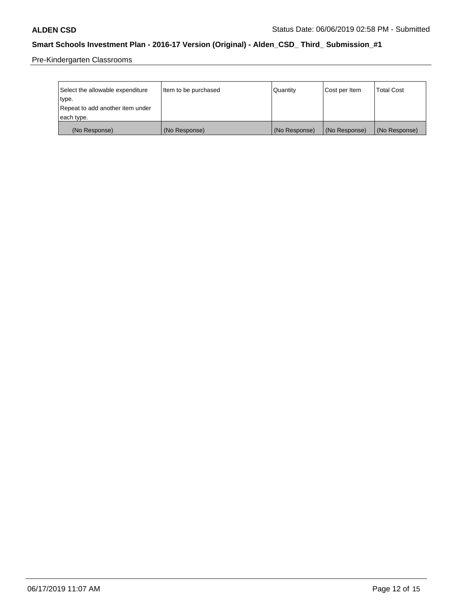Pre-Kindergarten Classrooms

| Select the allowable expenditure | Item to be purchased | Quantity      | Cost per Item | <b>Total Cost</b> |
|----------------------------------|----------------------|---------------|---------------|-------------------|
| type.                            |                      |               |               |                   |
| Repeat to add another item under |                      |               |               |                   |
| each type.                       |                      |               |               |                   |
| (No Response)                    | (No Response)        | (No Response) | (No Response) | (No Response)     |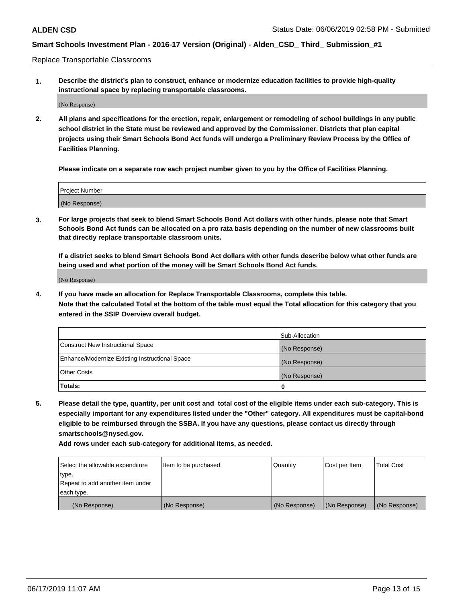Replace Transportable Classrooms

**1. Describe the district's plan to construct, enhance or modernize education facilities to provide high-quality instructional space by replacing transportable classrooms.**

(No Response)

**2. All plans and specifications for the erection, repair, enlargement or remodeling of school buildings in any public school district in the State must be reviewed and approved by the Commissioner. Districts that plan capital projects using their Smart Schools Bond Act funds will undergo a Preliminary Review Process by the Office of Facilities Planning.**

**Please indicate on a separate row each project number given to you by the Office of Facilities Planning.**

| Project Number |  |
|----------------|--|
|                |  |
|                |  |
|                |  |
|                |  |
| (No Response)  |  |
|                |  |
|                |  |
|                |  |

**3. For large projects that seek to blend Smart Schools Bond Act dollars with other funds, please note that Smart Schools Bond Act funds can be allocated on a pro rata basis depending on the number of new classrooms built that directly replace transportable classroom units.**

**If a district seeks to blend Smart Schools Bond Act dollars with other funds describe below what other funds are being used and what portion of the money will be Smart Schools Bond Act funds.**

(No Response)

**4. If you have made an allocation for Replace Transportable Classrooms, complete this table. Note that the calculated Total at the bottom of the table must equal the Total allocation for this category that you entered in the SSIP Overview overall budget.**

|                                                | Sub-Allocation |
|------------------------------------------------|----------------|
| Construct New Instructional Space              | (No Response)  |
| Enhance/Modernize Existing Instructional Space | (No Response)  |
| <b>Other Costs</b>                             | (No Response)  |
| Totals:                                        | 0              |

**5. Please detail the type, quantity, per unit cost and total cost of the eligible items under each sub-category. This is especially important for any expenditures listed under the "Other" category. All expenditures must be capital-bond eligible to be reimbursed through the SSBA. If you have any questions, please contact us directly through smartschools@nysed.gov.**

| Select the allowable expenditure | Item to be purchased | l Quantitv    | Cost per Item | <b>Total Cost</b> |
|----------------------------------|----------------------|---------------|---------------|-------------------|
| type.                            |                      |               |               |                   |
| Repeat to add another item under |                      |               |               |                   |
| each type.                       |                      |               |               |                   |
| (No Response)                    | (No Response)        | (No Response) | (No Response) | (No Response)     |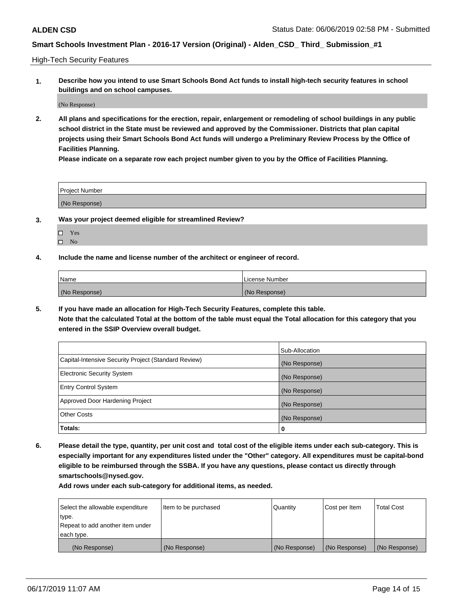High-Tech Security Features

**1. Describe how you intend to use Smart Schools Bond Act funds to install high-tech security features in school buildings and on school campuses.**

(No Response)

**2. All plans and specifications for the erection, repair, enlargement or remodeling of school buildings in any public school district in the State must be reviewed and approved by the Commissioner. Districts that plan capital projects using their Smart Schools Bond Act funds will undergo a Preliminary Review Process by the Office of Facilities Planning.** 

**Please indicate on a separate row each project number given to you by the Office of Facilities Planning.**

| <b>Project Number</b> |  |
|-----------------------|--|
| (No Response)         |  |

- **3. Was your project deemed eligible for streamlined Review?**
	- Yes
	- $\square$  No
- **4. Include the name and license number of the architect or engineer of record.**

| <b>Name</b>   | License Number |
|---------------|----------------|
| (No Response) | (No Response)  |

**5. If you have made an allocation for High-Tech Security Features, complete this table.**

**Note that the calculated Total at the bottom of the table must equal the Total allocation for this category that you entered in the SSIP Overview overall budget.**

|                                                      | Sub-Allocation |
|------------------------------------------------------|----------------|
| Capital-Intensive Security Project (Standard Review) | (No Response)  |
| <b>Electronic Security System</b>                    | (No Response)  |
| <b>Entry Control System</b>                          | (No Response)  |
| Approved Door Hardening Project                      | (No Response)  |
| <b>Other Costs</b>                                   | (No Response)  |
| Totals:                                              | 0              |

**6. Please detail the type, quantity, per unit cost and total cost of the eligible items under each sub-category. This is especially important for any expenditures listed under the "Other" category. All expenditures must be capital-bond eligible to be reimbursed through the SSBA. If you have any questions, please contact us directly through smartschools@nysed.gov.**

| Select the allowable expenditure | Item to be purchased | l Quantitv    | Cost per Item | <b>Total Cost</b> |
|----------------------------------|----------------------|---------------|---------------|-------------------|
| type.                            |                      |               |               |                   |
| Repeat to add another item under |                      |               |               |                   |
| each type.                       |                      |               |               |                   |
| (No Response)                    | (No Response)        | (No Response) | (No Response) | (No Response)     |